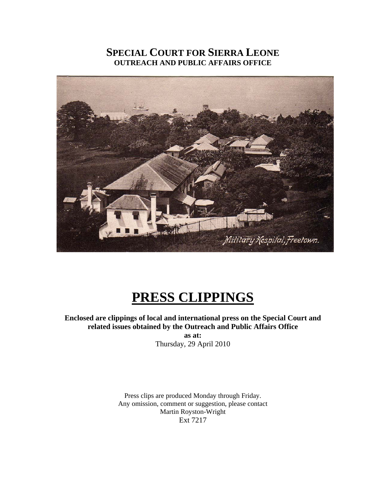# **SPECIAL COURT FOR SIERRA LEONE OUTREACH AND PUBLIC AFFAIRS OFFICE**



# **PRESS CLIPPINGS**

**Enclosed are clippings of local and international press on the Special Court and related issues obtained by the Outreach and Public Affairs Office as at:**  Thursday, 29 April 2010

> Press clips are produced Monday through Friday. Any omission, comment or suggestion, please contact Martin Royston-Wright Ext 7217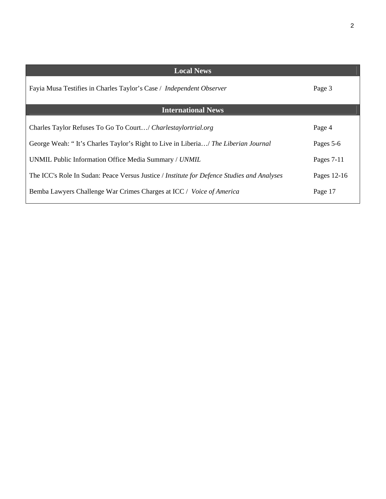| <b>Local News</b>                                                                          |             |
|--------------------------------------------------------------------------------------------|-------------|
| Fayia Musa Testifies in Charles Taylor's Case / Independent Observer                       | Page 3      |
| <b>International News</b>                                                                  |             |
| Charles Taylor Refuses To Go To Court/ Charlestaylortrial.org                              | Page 4      |
| George Weah: "It's Charles Taylor's Right to Live in Liberia/ The Liberian Journal         | Pages 5-6   |
| UNMIL Public Information Office Media Summary / UNMIL                                      | Pages 7-11  |
| The ICC's Role In Sudan: Peace Versus Justice / Institute for Defence Studies and Analyses | Pages 12-16 |
| Bemba Lawyers Challenge War Crimes Charges at ICC / Voice of America                       | Page 17     |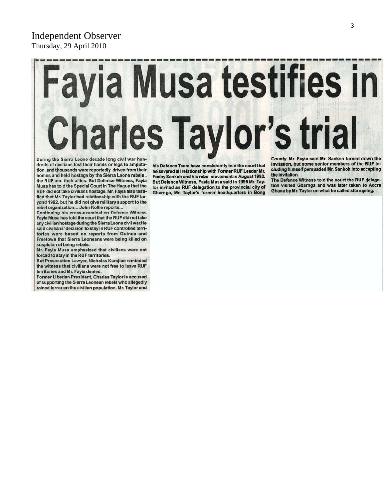# Independent Observer Thursday, 29 April 2010

# ayia Musa testifies in **Charles Taylor's trial**

During the Sierra Leone decade long civil war hundreds of civilians lost their hands or legs to amputation, and thousands were reportedly driven from their homes and held hostage by the Sierra Leone rebels, the RUF and their allies. But Defence Witness, Fayia Musa has told the Special Court in The Hague that the RUF did not take civilians hostage. Mr. Fayia also testified that Mr. Taylor had relationship with the RUF beyond 1992, but he did not give military support to the rebel organization... John Kollie reports...

**Continuing his cross-examination Defence Witness** Fayia Musa has told the court that the RUF did not take any civilian hostage during the Sierra Leone civil war. He said civilians' decision to stay in RUF controlled territories were based on reports from Guinea and Freetown that Sierra Leoneans were being killed on suspicion of being rebels.

Mr. Fayia Musa emphasized that civilians were not forced to stay in the RUF territories.

But Prosecution Lawyer, Nicholas Kumjian reminded the witness that civilians were not free to leave RUF territories and Mr. Fayia denied.

Former Liberian President, Charles Taylor is accused of supporting the Sierra Leonean rebels who allegedly rained terror on the civilian population. Mr. Taylor and

his Defence Team have consistently told the court that he severed all relationship with Former RUF Leader Mr. Foday Sankoh and his rebel movement in August 1992. But Defence Witness, Fayia Musa said in 1995 Mr. Taylor invited an RUF delegation to the provincial city of Gbarnga, Mr. Taylor's former headquarters in Bong

County. Mr. Fayia said Mr. Sankoh turned down the invitation, but some senior members of the RUF including himself persuaded Mr. Sankoh into accepting the invitation.

The Defence Witness told the court the RUF delegation visited Gbarnga and was later taken to Accra Ghana by Mr. Taylor on what he called site seeing.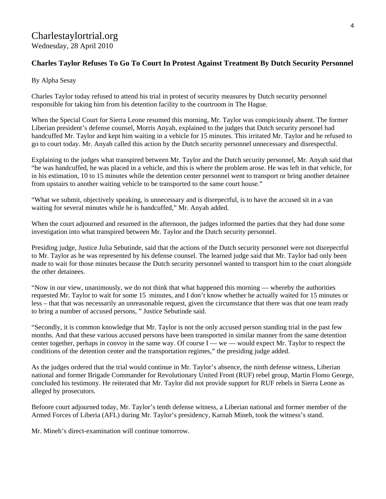# Charlestaylortrial.org Wednesday, 28 April 2010

# **Charles Taylor Refuses To Go To Court In Protest Against Treatment By Dutch Security Personnel**

By Alpha Sesay

Charles Taylor today refused to attend his trial in protest of security measures by Dutch security personnel responsible for taking him from his detention facility to the courtroom in The Hague.

When the Special Court for Sierra Leone resumed this morning, Mr. Taylor was conspiciously absent. The former Liberian president's defense counsel, Morris Anyah, explained to the judges that Dutch security personel had handcuffed Mr. Taylor and kept him waiting in a vehicle for 15 minutes. This irritated Mr. Taylor and he refused to go to court today. Mr. Anyah called this action by the Dutch security personnel unnecessary and disrespectful.

Explaining to the judges what transpired between Mr. Taylor and the Dutch security personnel, Mr. Anyah said that "he was handcuffed, he was placed in a vehicle, and this is where the problem arose. He was left in that vehicle, for in his estimation, 10 to 15 minutes while the detention center personnel went to transport or bring another detainee from upstairs to another waiting vehicle to be transported to the same court house."

"What we submit, objectively speaking, is unnecessary and is disrepectful, is to have the accused sit in a van waiting for several minutes while he is handcuffed," Mr. Anyah added.

When the court adjourned and resumed in the afternoon, the judges informed the parties that they had done some investigation into what transpired between Mr. Taylor and the Dutch security personnel.

Presiding judge, Justice Julia Sebutinde, said that the actions of the Dutch security personnel were not disrepectful to Mr. Taylor as he was represented by his defense counsel. The learned judge said that Mr. Taylor had only been made to wait for those minutes because the Dutch security personnel wanted to transport him to the court alongside the other detainees.

"Now in our view, unanimously, we do not think that what happened this morning — whereby the authorities requested Mr. Taylor to wait for some 15 minutes, and I don't know whether he actually waited for 15 minutes or less – that that was necessarily an unreasonable request, given the circumstance that there was that one team ready to bring a number of accused persons, " Justice Sebutinde said.

"Secondly, it is common knowledge that Mr. Taylor is not the only accused person standing trial in the past few months. And that these various accused persons have been transported in similar manner from the same detention center together, perhaps in convoy in the same way. Of course I — we — would expect Mr. Taylor to respect the conditions of the detention center and the transportation regimes," the presiding judge added.

As the judges ordered that the trial would continue in Mr. Taylor's absence, the ninth defense witness, Liberian national and former Brigade Commander for Revolutionary United Front (RUF) rebel group, Martin Flomo George, concluded his testimony. He reiterated that Mr. Taylor did not provide support for RUF rebels in Sierra Leone as alleged by prosecutors.

Befoore court adjourned today, Mr. Taylor's tenth defense witness, a Liberian national and former member of the Armed Forces of Liberia (AFL) during Mr. Taylor's presidency, Karnah Mineh, took the witness's stand.

Mr. Mineh's direct-examination will continue tomorrow.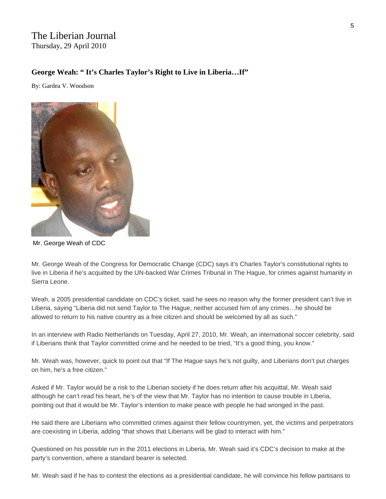# The Liberian Journal Thursday, 29 April 2010

### **George Weah: " It's Charles Taylor's Right to Live in Liberia…If"**

By: Gardea V. Woodson



Mr. George Weah of CDC

Mr. George Weah of the Congress for Democratic Change (CDC) says it's Charles Taylor's constitutional rights to live in Liberia if he's acquitted by the UN-backed War Crimes Tribunal in The Hague, for crimes against humanity in Sierra Leone.

Weah, a 2005 presidential candidate on CDC's ticket, said he sees no reason why the former president can't live in Liberia, saying "Liberia did not send Taylor to The Hague, neither accused him of any crimes…he should be allowed to return to his native country as a free citizen and should be welcomed by all as such."

In an interview with Radio Netherlands on Tuesday, April 27, 2010, Mr. Weah, an international soccer celebrity, said if Liberians think that Taylor committed crime and he needed to be tried, "It's a good thing, you know."

Mr. Weah was, however, quick to point out that "If The Hague says he's not guilty, and Liberians don't put charges on him, he's a free citizen."

Asked if Mr. Taylor would be a risk to the Liberian society if he does return after his acquittal, Mr. Weah said although he can't read his heart, he's of the view that Mr. Taylor has no intention to cause trouble in Liberia, pointing out that it would be Mr. Taylor's intention to make peace with people he had wronged in the past.

He said there are Liberians who committed crimes against their fellow countrymen, yet, the victims and perpetrators are coexisting in Liberia, adding "that shows that Liberians will be glad to interact with him."

Questioned on his possible run in the 2011 elections in Liberia, Mr. Weah said it's CDC's decision to make at the party's convention, where a standard bearer is selected.

Mr. Weah said if he has to contest the elections as a presidential candidate, he will convince his fellow partisans to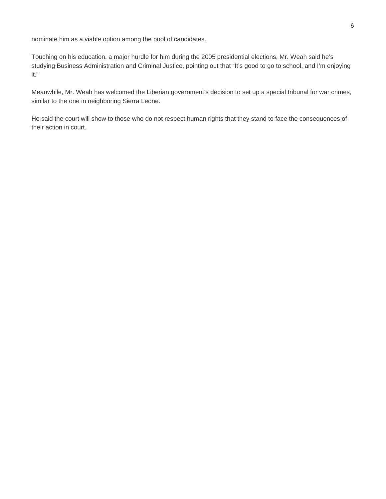nominate him as a viable option among the pool of candidates.

Touching on his education, a major hurdle for him during the 2005 presidential elections, Mr. Weah said he's studying Business Administration and Criminal Justice, pointing out that "It's good to go to school, and I'm enjoying it."

Meanwhile, Mr. Weah has welcomed the Liberian government's decision to set up a special tribunal for war crimes, similar to the one in neighboring Sierra Leone.

He said the court will show to those who do not respect human rights that they stand to face the consequences of their action in court.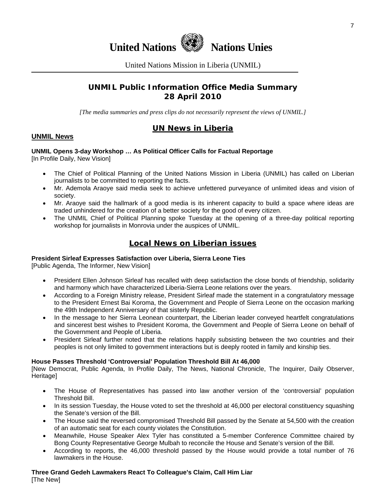

United Nations Mission in Liberia (UNMIL)

# **UNMIL Public Information Office Media Summary 28 April 2010**

*[The media summaries and press clips do not necessarily represent the views of UNMIL.]* 

# **UN News in Liberia**

#### **UNMIL News**

# **UNMIL Opens 3-day Workshop … As Political Officer Calls for Factual Reportage**

[In Profile Daily, New Vision]

- The Chief of Political Planning of the United Nations Mission in Liberia (UNMIL) has called on Liberian journalists to be committed to reporting the facts.
- Mr. Ademola Araoye said media seek to achieve unfettered purveyance of unlimited ideas and vision of society.
- Mr. Araoye said the hallmark of a good media is its inherent capacity to build a space where ideas are traded unhindered for the creation of a better society for the good of every citizen.
- The UNMIL Chief of Political Planning spoke Tuesday at the opening of a three-day political reporting workshop for journalists in Monrovia under the auspices of UNMIL.

# **Local News on Liberian issues**

#### **President Sirleaf Expresses Satisfaction over Liberia, Sierra Leone Ties**

[Public Agenda, The Informer, New Vision]

- President Ellen Johnson Sirleaf has recalled with deep satisfaction the close bonds of friendship, solidarity and harmony which have characterized Liberia-Sierra Leone relations over the years.
- According to a Foreign Ministry release, President Sirleaf made the statement in a congratulatory message to the President Ernest Bai Koroma, the Government and People of Sierra Leone on the occasion marking the 49th Independent Anniversary of that sisterly Republic.
- In the message to her Sierra Leonean counterpart, the Liberian leader conveyed heartfelt congratulations and sincerest best wishes to President Koroma, the Government and People of Sierra Leone on behalf of the Government and People of Liberia.
- President Sirleaf further noted that the relations happily subsisting between the two countries and their peoples is not only limited to government interactions but is deeply rooted in family and kinship ties.

#### **House Passes Threshold 'Controversial' Population Threshold Bill At 46,000**

[New Democrat, Public Agenda, In Profile Daily, The News, National Chronicle, The Inquirer, Daily Observer, **Heritagel** 

- The House of Representatives has passed into law another version of the 'controversial' population Threshold Bill.
- In its session Tuesday, the House voted to set the threshold at 46,000 per electoral constituency squashing the Senate's version of the Bill.
- The House said the reversed compromised Threshold Bill passed by the Senate at 54,500 with the creation of an automatic seat for each county violates the Constitution.
- Meanwhile, House Speaker Alex Tyler has constituted a 5-member Conference Committee chaired by Bong County Representative George Mulbah to reconcile the House and Senate's version of the Bill.
- According to reports, the 46,000 threshold passed by the House would provide a total number of 76 lawmakers in the House.

# **Three Grand Gedeh Lawmakers React To Colleague's Claim, Call Him Liar**

[The New]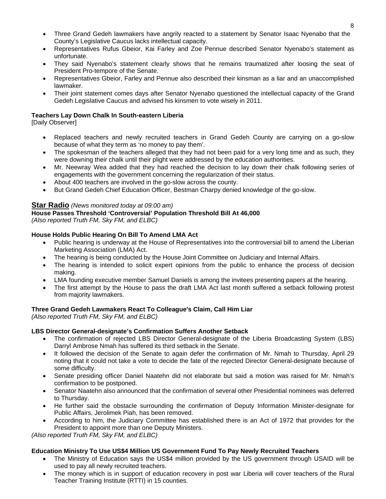- Three Grand Gedeh lawmakers have angrily reacted to a statement by Senator Isaac Nyenabo that the County's Legislative Caucus lacks intellectual capacity.
- Representatives Rufus Gbeior, Kai Farley and Zoe Pennue described Senator Nyenabo's statement as unfortunate.
- They said Nyenabo's statement clearly shows that he remains traumatized after loosing the seat of President Pro-tempore of the Senate.
- Representatives Gbeior, Farley and Pennue also described their kinsman as a liar and an unaccomplished lawmaker.
- Their joint statement comes days after Senator Nyenabo questioned the intellectual capacity of the Grand Gedeh Legislative Caucus and advised his kinsmen to vote wisely in 2011.

# **Teachers Lay Down Chalk In South-eastern Liberia**

[Daily Observer]

- Replaced teachers and newly recruited teachers in Grand Gedeh County are carrying on a go-slow because of what they term as 'no money to pay them'.
- The spokesman of the teachers alleged that they had not been paid for a very long time and as such, they were downing their chalk until their plight were addressed by the education authorities.
- Mr. Neewray Wea added that they had reached the decision to lay down their chalk following series of engagements with the government concerning the regularization of their status.
- About 400 teachers are involved in the go-slow across the county.
- But Grand Gedeh Chief Education Officer, Bestman Charpy denied knowledge of the go-slow.

# **Star Radio** *(News monitored today at 09:00 am)*

#### **House Passes Threshold 'Controversial' Population Threshold Bill At 46,000**

*(Also reported Truth FM, Sky FM, and ELBC)*

#### **House Holds Public Hearing On Bill To Amend LMA Act**

- Public hearing is underway at the House of Representatives into the controversial bill to amend the Liberian Marketing Association (LMA) Act.
- The hearing is being conducted by the House Joint Committee on Judiciary and Internal Affairs.
- The hearing is intended to solicit expert opinions from the public to enhance the process of decision making.
- LMA founding executive member Samuel Daniels is among the invitees presenting papers at the hearing.
- The first attempt by the House to pass the draft LMA Act last month suffered a setback following protest from majority lawmakers.

# **Three Grand Gedeh Lawmakers React To Colleague's Claim, Call Him Liar**

*(Also reported Truth FM, Sky FM, and ELBC)*

#### **LBS Director General-designate's Confirmation Suffers Another Setback**

- The confirmation of rejected LBS Director General-designate of the Liberia Broadcasting System (LBS) Darryl Ambrose Nmah has suffered its third setback in the Senate.
- It followed the decision of the Senate to again defer the confirmation of Mr. Nmah to Thursday, April 29 noting that it could not take a vote to decide the fate of the rejected Director General-designate because of some difficulty.
- Senate presiding officer Daniel Naatehn did not elaborate but said a motion was raised for Mr. Nmah's confirmation to be postponed.
- Senator Naatehn also announced that the confirmation of several other Presidential nominees was deferred to Thursday.
- He further said the obstacle surrounding the confirmation of Deputy Information Minister-designate for Public Affairs, Jerolimek Piah, has been removed.
- According to him, the Judiciary Committee has established there is an Act of 1972 that provides for the President to appoint more than one Deputy Ministers.

*(Also reported Truth FM, Sky FM, and ELBC)*

# **Education Ministry To Use US\$4 Million US Government Fund To Pay Newly Recruited Teachers**

- The Ministry of Education says the US\$4 million provided by the US government through USAID will be used to pay all newly recruited teachers.
- The money which is in support of education recovery in post war Liberia will cover teachers of the Rural Teacher Training Institute (RTTI) in 15 counties.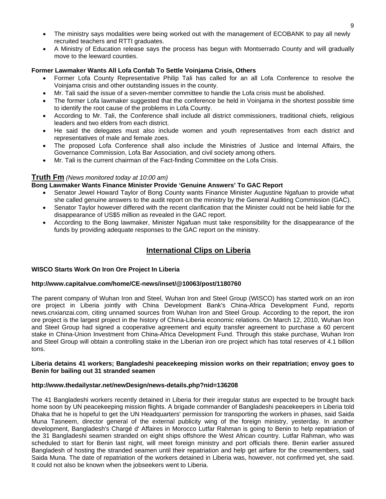- The ministry says modalities were being worked out with the management of ECOBANK to pay all newly recruited teachers and RTTI graduates.
- A Ministry of Education release says the process has begun with Montserrado County and will gradually move to the leeward counties.

#### **Former Lawmaker Wants All Lofa Confab To Settle Voinjama Crisis, Others**

- Former Lofa County Representative Philip Tali has called for an all Lofa Conference to resolve the Voinjama crisis and other outstanding issues in the county.
- Mr. Tali said the issue of a seven-member committee to handle the Lofa crisis must be abolished.
- The former Lofa lawmaker suggested that the conference be held in Voinjama in the shortest possible time to identify the root cause of the problems in Lofa County.
- According to Mr. Tali, the Conference shall include all district commissioners, traditional chiefs, religious leaders and two elders from each district.
- He said the delegates must also include women and youth representatives from each district and representatives of male and female zoes.
- The proposed Lofa Conference shall also include the Ministries of Justice and Internal Affairs, the Governance Commission, Lofa Bar Association, and civil society among others.
- Mr. Tali is the current chairman of the Fact-finding Committee on the Lofa Crisis.

#### **Truth Fm** *(News monitored today at 10:00 am)*

#### **Bong Lawmaker Wants Finance Minister Provide 'Genuine Answers' To GAC Report**

- Senator Jewel Howard Taylor of Bong County wants Finance Minister Augustine Ngafuan to provide what she called genuine answers to the audit report on the ministry by the General Auditing Commission (GAC).
- Senator Taylor however differed with the recent clarification that the Minister could not be held liable for the disappearance of US\$5 million as revealed in the GAC report.
- According to the Bong lawmaker, Minister Ngafuan must take responsibility for the disappearance of the funds by providing adequate responses to the GAC report on the ministry.

# **International Clips on Liberia**

#### **WISCO Starts Work On Iron Ore Project In Liberia**

#### **http://www.capitalvue.com/home/CE-news/inset/@10063/post/1180760**

The parent company of Wuhan Iron and Steel, Wuhan Iron and Steel Group (WISCO) has started work on an iron ore project in Liberia jointly with China Development Bank's China-Africa Development Fund, reports news.cnxianzai.com, citing unnamed sources from Wuhan Iron and Steel Group. According to the report, the iron ore project is the largest project in the history of China-Liberia economic relations. On March 12, 2010, Wuhan Iron and Steel Group had signed a cooperative agreement and equity transfer agreement to purchase a 60 percent stake in China-Union Investment from China-Africa Development Fund. Through this stake purchase, Wuhan Iron and Steel Group will obtain a controlling stake in the Liberian iron ore project which has total reserves of 4.1 billion tons.

#### **Liberia detains 41 workers; Bangladeshi peacekeeping mission works on their repatriation; envoy goes to Benin for bailing out 31 stranded seamen**

#### **<http://www.thedailystar.net/newDesign/news-details.php?nid=136208>**

The 41 Bangladeshi workers recently detained in Liberia for their irregular status are expected to be brought back home soon by UN peacekeeping mission flights. A brigade commander of Bangladeshi peacekeepers in Liberia told Dhaka that he is hopeful to get the UN Headquarters' permission for transporting the workers in phases, said Saida Muna Tasneem, director general of the external publicity wing of the foreign ministry, yesterday. In another development, Bangladesh's Chargé d' Affaires in Morocco Lutfar Rahman is going to Benin to help repatriation of the 31 Bangladeshi seamen stranded on eight ships offshore the West African country. Lutfar Rahman, who was scheduled to start for Benin last night, will meet foreign ministry and port officials there. Benin earlier assured Bangladesh of hosting the stranded seamen until their repatriation and help get airfare for the crewmembers, said Saida Muna. The date of repatriation of the workers detained in Liberia was, however, not confirmed yet, she said. It could not also be known when the jobseekers went to Liberia.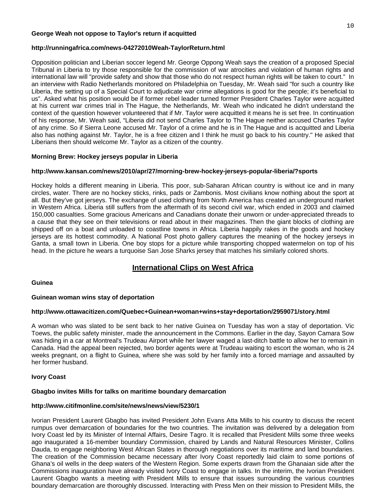#### **George Weah not oppose to Taylor's return if acquitted**

#### **http://runningafrica.com/news-04272010Weah-TaylorReturn.html**

Opposition politician and Liberian soccer legend Mr. George Oppong Weah says the creation of a proposed Special Tribunal in Liberia to try those responsible for the commission of war atrocities and violation of human rights and international law will "provide safety and show that those who do not respect human rights will be taken to court." In an interview with Radio Netherlands monitored on Philadelphia on Tuesday, Mr. Weah said "for such a country like Liberia, the setting up of a Special Court to adjudicate war crime allegations is good for the people; it's beneficial to us". Asked what his position would be if former rebel leader turned former President Charles Taylor were acquitted at his current war crimes trial in The Hague, the Netherlands, Mr. Weah who indicated he didn't understand the context of the question however volunteered that if Mr. Taylor were acquitted it means he is set free. In continuation of his response, Mr. Weah said, "Liberia did not send Charles Taylor to The Hague neither accused Charles Taylor of any crime. So if Sierra Leone accused Mr. Taylor of a crime and he is in The Hague and is acquitted and Liberia also has nothing against Mr. Taylor, he is a free citizen and I think he must go back to his country." He asked that Liberians then should welcome Mr. Taylor as a citizen of the country.

#### **Morning Brew: Hockey jerseys popular in Liberia**

#### **http://www.kansan.com/news/2010/apr/27/morning-brew-hockey-jerseys-popular-liberia/?sports**

Hockey holds a different meaning in Liberia. This poor, sub-Saharan African country is without ice and in many circles, water. There are no hockey sticks, rinks, pads or Zambonis. Most civilians know nothing about the sport at all. But they've got jerseys. The exchange of used clothing from North America has created an underground market in Western Africa. Liberia still suffers from the aftermath of its second civil war, which ended in 2003 and claimed 150,000 casualties. Some gracious Americans and Canadians donate their unworn or under-appreciated threads to a cause that they see on their televisions or read about in their magazines. Then the giant blocks of clothing are shipped off on a boat and unloaded to coastline towns in Africa. Liberia happily rakes in the goods and hockey jerseys are its hottest commodity. A National Post photo gallery captures the meaning of the hockey jerseys in Ganta, a small town in Liberia. One boy stops for a picture while transporting chopped watermelon on top of his head. In the picture he wears a turquoise San Jose Sharks jersey that matches his similarly colored shorts.

# **International Clips on West Africa**

#### **Guinea**

#### **Guinean woman wins stay of deportation**

#### **http://www.ottawacitizen.com/Quebec+Guinean+woman+wins+stay+deportation/2959071/story.html**

A woman who was slated to be sent back to her native Guinea on Tuesday has won a stay of deportation. Vic Toews, the public safety minister, made the announcement in the Commons. Earlier in the day, Sayon Camara Sow was hiding in a car at Montreal's Trudeau Airport while her lawyer waged a last-ditch battle to allow her to remain in Canada. Had the appeal been rejected, two border agents were at Trudeau waiting to escort the woman, who is 24 weeks pregnant, on a flight to Guinea, where she was sold by her family into a forced marriage and assaulted by her former husband.

#### **Ivory Coast**

#### **Gbagbo invites Mills for talks on maritime boundary demarcation**

#### **http://www.citifmonline.com/site/news/news/view/5230/1**

Ivorian President Laurent Gbagbo has invited President John Evans Atta Mills to his country to discuss the recent rumpus over demarcation of boundaries for the two countries. The invitation was delivered by a delegation from Ivory Coast led by its Minister of Internal Affairs, Desire Tagro. It is recalled that President Mills some three weeks ago inaugurated a 16-member boundary Commission, chaired by Lands and Natural Resources Minister, Collins Dauda, to engage neighboring West African States in thorough negotiations over its maritime and land boundaries. The creation of the Commission became necessary after Ivory Coast reportedly laid claim to some portions of Ghana's oil wells in the deep waters of the Western Region. Some experts drawn from the Ghanaian side after the Commissions inauguration have already visited Ivory Coast to engage in talks. In the interim, the Ivorian President Laurent Gbagbo wants a meeting with President Mills to ensure that issues surrounding the various countries boundary demarcation are thoroughly discussed. Interacting with Press Men on their mission to President Mills, the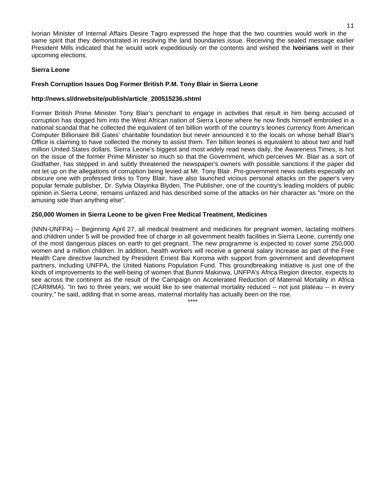Ivorian Minister of Internal Affairs Desire Tagro expressed the hope that the two countries would work in the same spirit that they demonstrated in resolving the land boundaries issue. Receiving the sealed message earlier President Mills indicated that he would work expeditiously on the contents and wished the **Ivoirians** well in their upcoming elections.

#### **Sierra Leone**

#### **Fresh Corruption Issues Dog Former British P.M. Tony Blair in Sierra Leone**

#### **http://news.sl/drwebsite/publish/article\_200515236.shtml**

Former British Prime Minister Tony Blair's penchant to engage in activities that result in him being accused of corruption has dogged him into the West African nation of Sierra Leone where he now finds himself embroiled in a national scandal that he collected the equivalent of ten billion worth of the country's leones currency from American Computer Billionaire Bill Gates' charitable foundation but never announced it to the locals on whose behalf Blair's Office is claiming to have collected the money to assist them. Ten billion leones is equivalent to about two and half million United States dollars. Sierra Leone's biggest and most widely read news daily, the Awareness Times, is hot on the issue of the former Prime Minister so much so that the Government, which perceives Mr. Blair as a sort of Godfather, has stepped in and subtly threatened the newspaper's owners with possible sanctions if the paper did not let up on the allegations of corruption being levied at Mr. Tony Blair. Pro-government news outlets especially an obscure one with professed links to Tony Blair, have also launched vicious personal attacks on the paper's very popular female publisher, Dr. Sylvia Olayinka Blyden. The Publisher, one of the country's leading molders of public opinion in Sierra Leone, remains unfazed and has described some of the attacks on her character as "more on the amusing side than anything else".

#### **250,000 Women in Sierra Leone to be given Free Medical Treatment, Medicines**

(NNN-UNFPA) -- Beginning April 27, all medical treatment and medicines for pregnant women, lactating mothers and children under 5 will be provided free of charge in all government health facilities in Sierra Leone, currently one of the most dangerous places on earth to get pregnant. The new programme is expected to cover some 250,000 women and a million children. In addition, health workers will receive a general salary increase as part of the Free Health Care directive launched by President Ernest Bai Koroma with support from government and development partners, including UNFPA, the United Nations Population Fund. This groundbreaking initiative is just one of the kinds of improvements to the well-being of women that Bunmi Makinwa, UNFPA's Africa Region director, expects to see across the continent as the result of the Campaign on Accelerated Reduction of Maternal Mortality in Africa (CARMMA). "In two to three years, we would like to see maternal mortality reduced -- not just plateau -- in every country," he said, adding that in some areas, maternal mortality has actually been on the rise.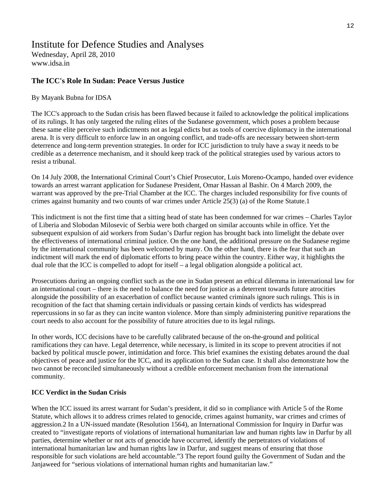# Institute for Defence Studies and Analyses Wednesday, April 28, 2010

[www.idsa.in](http://www.idsa.in/) 

# **The ICC's Role In Sudan: Peace Versus Justice**

#### By Mayank Bubna for IDSA

The ICC's approach to the Sudan crisis has been flawed because it failed to acknowledge the political implications of its rulings. It has only targeted the ruling elites of the Sudanese government, which poses a problem because these same elite perceive such indictments not as legal edicts but as tools of coercive diplomacy in the international arena. It is very difficult to enforce law in an ongoing conflict, and trade-offs are necessary between short-term deterrence and long-term prevention strategies. In order for ICC jurisdiction to truly have a sway it needs to be credible as a deterrence mechanism, and it should keep track of the political strategies used by various actors to resist a tribunal.

On 14 July 2008, the International Criminal Court's Chief Prosecutor, Luis Moreno-Ocampo, handed over evidence towards an arrest warrant application for Sudanese President, Omar Hassan al Bashir. On 4 March 2009, the warrant was approved by the pre-Trial Chamber at the ICC. The charges included responsibility for five counts of crimes against humanity and two counts of war crimes under Article 25(3) (a) of the Rome Statute.1

This indictment is not the first time that a sitting head of state has been condemned for war crimes – Charles Taylor of Liberia and Slobodan Milosevic of Serbia were both charged on similar accounts while in office. Yet the subsequent expulsion of aid workers from Sudan's Darfur region has brought back into limelight the debate over the effectiveness of international criminal justice. On the one hand, the additional pressure on the Sudanese regime by the international community has been welcomed by many. On the other hand, there is the fear that such an indictment will mark the end of diplomatic efforts to bring peace within the country. Either way, it highlights the dual role that the ICC is compelled to adopt for itself – a legal obligation alongside a political act.

Prosecutions during an ongoing conflict such as the one in Sudan present an ethical dilemma in international law for an international court – there is the need to balance the need for justice as a deterrent towards future atrocities alongside the possibility of an exacerbation of conflict because wanted criminals ignore such rulings. This is in recognition of the fact that shaming certain individuals or passing certain kinds of verdicts has widespread repercussions in so far as they can incite wanton violence. More than simply administering punitive reparations the court needs to also account for the possibility of future atrocities due to its legal rulings.

In other words, ICC decisions have to be carefully calibrated because of the on-the-ground and political ramifications they can have. Legal deterrence, while necessary, is limited in its scope to prevent atrocities if not backed by political muscle power, intimidation and force. This brief examines the existing debates around the dual objectives of peace and justice for the ICC, and its application to the Sudan case. It shall also demonstrate how the two cannot be reconciled simultaneously without a credible enforcement mechanism from the international community.

# **ICC Verdict in the Sudan Crisis**

When the ICC issued its arrest warrant for Sudan's president, it did so in compliance with Article 5 of the Rome Statute, which allows it to address crimes related to genocide, crimes against humanity, war crimes and crimes of aggression.2 In a UN-issued mandate (Resolution 1564), an International Commission for Inquiry in Darfur was created to "investigate reports of violations of international humanitarian law and human rights law in Darfur by all parties, determine whether or not acts of genocide have occurred, identify the perpetrators of violations of international humanitarian law and human rights law in Darfur, and suggest means of ensuring that those responsible for such violations are held accountable."3 The report found guilty the Government of Sudan and the Janjaweed for "serious violations of international human rights and humanitarian law."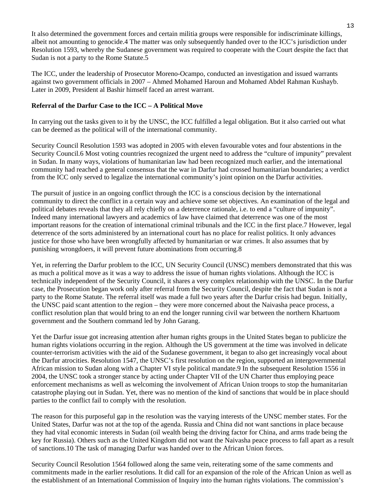It also determined the government forces and certain militia groups were responsible for indiscriminate killings, albeit not amounting to genocide.4 The matter was only subsequently handed over to the ICC's jurisdiction under Resolution 1593, whereby the Sudanese government was required to cooperate with the Court despite the fact that Sudan is not a party to the Rome Statute.5

The ICC, under the leadership of Prosecutor Moreno-Ocampo, conducted an investigation and issued warrants against two government officials in 2007 – Ahmed Mohamed Haroun and Mohamed Abdel Rahman Kushayb. Later in 2009, President al Bashir himself faced an arrest warrant.

# **Referral of the Darfur Case to the ICC – A Political Move**

In carrying out the tasks given to it by the UNSC, the ICC fulfilled a legal obligation. But it also carried out what can be deemed as the political will of the international community.

Security Council Resolution 1593 was adopted in 2005 with eleven favourable votes and four abstentions in the Security Council.6 Most voting countries recognized the urgent need to address the "culture of impunity" prevalent in Sudan. In many ways, violations of humanitarian law had been recognized much earlier, and the international community had reached a general consensus that the war in Darfur had crossed humanitarian boundaries; a verdict from the ICC only served to legalize the international community's joint opinion on the Darfur activities.

The pursuit of justice in an ongoing conflict through the ICC is a conscious decision by the international community to direct the conflict in a certain way and achieve some set objectives. An examination of the legal and political debates reveals that they all rely chiefly on a deterrence rationale, i.e. to end a "culture of impunity". Indeed many international lawyers and academics of law have claimed that deterrence was one of the most important reasons for the creation of international criminal tribunals and the ICC in the first place.7 However, legal deterrence of the sorts administered by an international court has no place for realist politics. It only advances justice for those who have been wrongfully affected by humanitarian or war crimes. It also assumes that by punishing wrongdoers, it will prevent future abominations from occurring.8

Yet, in referring the Darfur problem to the ICC, UN Security Council (UNSC) members demonstrated that this was as much a political move as it was a way to address the issue of human rights violations. Although the ICC is technically independent of the Security Council, it shares a very complex relationship with the UNSC. In the Darfur case, the Prosecution began work only after referral from the Security Council, despite the fact that Sudan is not a party to the Rome Statute. The referral itself was made a full two years after the Darfur crisis had begun. Initially, the UNSC paid scant attention to the region – they were more concerned about the Naivasha peace process, a conflict resolution plan that would bring to an end the longer running civil war between the northern Khartuom government and the Southern command led by John Garang.

Yet the Darfur issue got increasing attention after human rights groups in the United States began to publicize the human rights violations occurring in the region. Although the US government at the time was involved in delicate counter-terrorism activities with the aid of the Sudanese government, it began to also get increasingly vocal about the Darfur atrocities. Resolution 1547, the UNSC's first resolution on the region, supported an intergovernmental African mission to Sudan along with a Chapter VI style political mandate.9 In the subsequent Resolution 1556 in 2004, the UNSC took a stronger stance by acting under Chapter VII of the UN Charter thus employing peace enforcement mechanisms as well as welcoming the involvement of African Union troops to stop the humanitarian catastrophe playing out in Sudan. Yet, there was no mention of the kind of sanctions that would be in place should parties to the conflict fail to comply with the resolution.

The reason for this purposeful gap in the resolution was the varying interests of the UNSC member states. For the United States, Darfur was not at the top of the agenda. Russia and China did not want sanctions in place because they had vital economic interests in Sudan (oil wealth being the driving factor for China, and arms trade being the key for Russia). Others such as the United Kingdom did not want the Naivasha peace process to fall apart as a result of sanctions.10 The task of managing Darfur was handed over to the African Union forces.

Security Council Resolution 1564 followed along the same vein, reiterating some of the same comments and commitments made in the earlier resolutions. It did call for an expansion of the role of the African Union as well as the establishment of an International Commission of Inquiry into the human rights violations. The commission's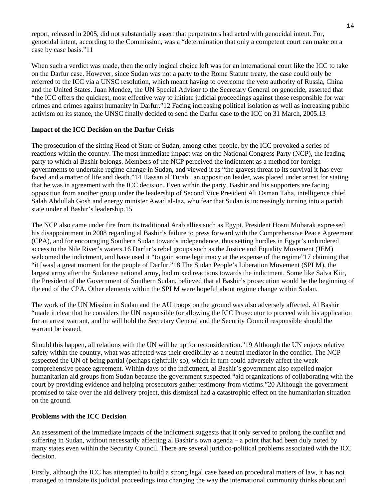report, released in 2005, did not substantially assert that perpetrators had acted with genocidal intent. For, genocidal intent, according to the Commission, was a "determination that only a competent court can make on a case by case basis."11

When such a verdict was made, then the only logical choice left was for an international court like the ICC to take on the Darfur case. However, since Sudan was not a party to the Rome Statute treaty, the case could only be referred to the ICC via a UNSC resolution, which meant having to overcome the veto authority of Russia, China and the United States. Juan Mendez, the UN Special Advisor to the Secretary General on genocide, asserted that "the ICC offers the quickest, most effective way to initiate judicial proceedings against those responsible for war crimes and crimes against humanity in Darfur."12 Facing increasing political isolation as well as increasing public activism on its stance, the UNSC finally decided to send the Darfur case to the ICC on 31 March, 2005.13

#### **Impact of the ICC Decision on the Darfur Crisis**

The prosecution of the sitting Head of State of Sudan, among other people, by the ICC provoked a series of reactions within the country. The most immediate impact was on the National Congress Party (NCP), the leading party to which al Bashir belongs. Members of the NCP perceived the indictment as a method for foreign governments to undertake regime change in Sudan, and viewed it as "the gravest threat to its survival it has ever faced and a matter of life and death."14 Hassan al Turabi, an opposition leader, was placed under arrest for stating that he was in agreement with the ICC decision. Even within the party, Bashir and his supporters are facing opposition from another group under the leadership of Second Vice President Ali Osman Taha, intelligence chief Salah Abdullah Gosh and energy minister Awad al-Jaz, who fear that Sudan is increasingly turning into a pariah state under al Bashir's leadership.15

The NCP also came under fire from its traditional Arab allies such as Egypt. President Hosni Mubarak expressed his disappointment in 2008 regarding al Bashir's failure to press forward with the Comprehensive Peace Agreement (CPA), and for encouraging Southern Sudan towards independence, thus setting hurdles in Egypt's unhindered access to the Nile River's waters.16 Darfur's rebel groups such as the Justice and Equality Movement (JEM) welcomed the indictment, and have used it "to gain some legitimacy at the expense of the regime"17 claiming that "it [was] a great moment for the people of Darfur."18 The Sudan People's Liberation Movement (SPLM), the largest army after the Sudanese national army, had mixed reactions towards the indictment. Some like Salva Kiir, the President of the Government of Southern Sudan, believed that al Bashir's prosecution would be the beginning of the end of the CPA. Other elements within the SPLM were hopeful about regime change within Sudan.

The work of the UN Mission in Sudan and the AU troops on the ground was also adversely affected. Al Bashir "made it clear that he considers the UN responsible for allowing the ICC Prosecutor to proceed with his application for an arrest warrant, and he will hold the Secretary General and the Security Council responsible should the warrant be issued.

Should this happen, all relations with the UN will be up for reconsideration."19 Although the UN enjoys relative safety within the country, what was affected was their credibility as a neutral mediator in the conflict. The NCP suspected the UN of being partial (perhaps rightfully so), which in turn could adversely affect the weak comprehensive peace agreement. Within days of the indictment, al Bashir's government also expelled major humanitarian aid groups from Sudan because the government suspected "aid organizations of collaborating with the court by providing evidence and helping prosecutors gather testimony from victims."20 Although the government promised to take over the aid delivery project, this dismissal had a catastrophic effect on the humanitarian situation on the ground.

# **Problems with the ICC Decision**

An assessment of the immediate impacts of the indictment suggests that it only served to prolong the conflict and suffering in Sudan, without necessarily affecting al Bashir's own agenda – a point that had been duly noted by many states even within the Security Council. There are several juridico-political problems associated with the ICC decision.

Firstly, although the ICC has attempted to build a strong legal case based on procedural matters of law, it has not managed to translate its judicial proceedings into changing the way the international community thinks about and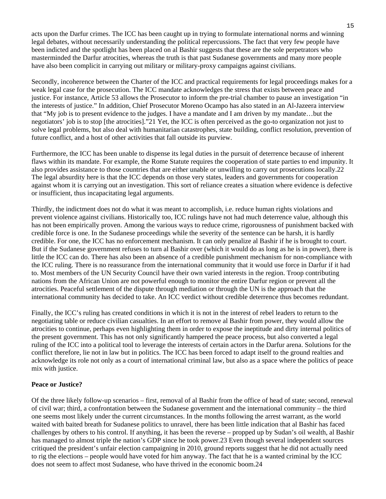acts upon the Darfur crimes. The ICC has been caught up in trying to formulate international norms and winning legal debates, without necessarily understanding the political repercussions. The fact that very few people have been indicted and the spotlight has been placed on al Bashir suggests that these are the sole perpetrators who masterminded the Darfur atrocities, whereas the truth is that past Sudanese governments and many more people have also been complicit in carrying out military or military-proxy campaigns against civilians.

Secondly, incoherence between the Charter of the ICC and practical requirements for legal proceedings makes for a weak legal case for the prosecution. The ICC mandate acknowledges the stress that exists between peace and justice. For instance, Article 53 allows the Prosecutor to inform the pre-trial chamber to pause an investigation "in the interests of justice." In addition, Chief Prosecutor Moreno Ocampo has also stated in an Al-Jazeera interview that "My job is to present evidence to the judges. I have a mandate and I am driven by my mandate…but the negotiators' job is to stop [the atrocities]."21 Yet, the ICC is often perceived as the go-to organization not just to solve legal problems, but also deal with humanitarian catastrophes, state building, conflict resolution, prevention of future conflict, and a host of other activities that fall outside its purview.

Furthermore, the ICC has been unable to dispense its legal duties in the pursuit of deterrence because of inherent flaws within its mandate. For example, the Rome Statute requires the cooperation of state parties to end impunity. It also provides assistance to those countries that are either unable or unwilling to carry out prosecutions locally.22 The legal absurdity here is that the ICC depends on those very states, leaders and governments for cooperation against whom it is carrying out an investigation. This sort of reliance creates a situation where evidence is defective or insufficient, thus incapacitating legal arguments.

Thirdly, the indictment does not do what it was meant to accomplish, i.e. reduce human rights violations and prevent violence against civilians. Historically too, ICC rulings have not had much deterrence value, although this has not been empirically proven. Among the various ways to reduce crime, rigorousness of punishment backed with credible force is one. In the Sudanese proceedings while the severity of the sentence can be harsh, it is hardly credible. For one, the ICC has no enforcement mechanism. It can only penalize al Bashir if he is brought to court. But if the Sudanese government refuses to turn al Bashir over (which it would do as long as he is in power), there is little the ICC can do. There has also been an absence of a credible punishment mechanism for non-compliance with the ICC ruling. There is no reassurance from the international community that it would use force in Darfur if it had to. Most members of the UN Security Council have their own varied interests in the region. Troop contributing nations from the African Union are not powerful enough to monitor the entire Darfur region or prevent all the atrocities. Peaceful settlement of the dispute through mediation or through the UN is the approach that the international community has decided to take. An ICC verdict without credible deterrence thus becomes redundant.

Finally, the ICC's ruling has created conditions in which it is not in the interest of rebel leaders to return to the negotiating table or reduce civilian casualties. In an effort to remove al Bashir from power, they would allow the atrocities to continue, perhaps even highlighting them in order to expose the ineptitude and dirty internal politics of the present government. This has not only significantly hampered the peace process, but also converted a legal ruling of the ICC into a political tool to leverage the interests of certain actors in the Darfur arena. Solutions for the conflict therefore, lie not in law but in politics. The ICC has been forced to adapt itself to the ground realties and acknowledge its role not only as a court of international criminal law, but also as a space where the politics of peace mix with justice.

#### **Peace or Justice?**

Of the three likely follow-up scenarios – first, removal of al Bashir from the office of head of state; second, renewal of civil war; third, a confrontation between the Sudanese government and the international community – the third one seems most likely under the current circumstances. In the months following the arrest warrant, as the world waited with baited breath for Sudanese politics to unravel, there has been little indication that al Bashir has faced challenges by others to his control. If anything, it has been the reverse – propped up by Sudan's oil wealth, al Bashir has managed to almost triple the nation's GDP since he took power.23 Even though several independent sources critiqued the president's unfair election campaigning in 2010, ground reports suggest that he did not actually need to rig the elections – people would have voted for him anyway. The fact that he is a wanted criminal by the ICC does not seem to affect most Sudanese, who have thrived in the economic boom.24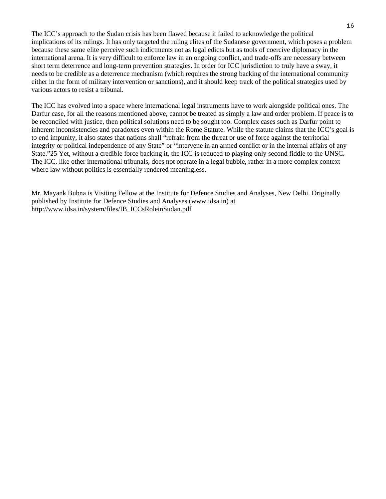The ICC's approach to the Sudan crisis has been flawed because it failed to acknowledge the political implications of its rulings. It has only targeted the ruling elites of the Sudanese government, which poses a problem because these same elite perceive such indictments not as legal edicts but as tools of coercive diplomacy in the international arena. It is very difficult to enforce law in an ongoing conflict, and trade-offs are necessary between short term deterrence and long-term prevention strategies. In order for ICC jurisdiction to truly have a sway, it needs to be credible as a deterrence mechanism (which requires the strong backing of the international community either in the form of military intervention or sanctions), and it should keep track of the political strategies used by various actors to resist a tribunal.

The ICC has evolved into a space where international legal instruments have to work alongside political ones. The Darfur case, for all the reasons mentioned above, cannot be treated as simply a law and order problem. If peace is to be reconciled with justice, then political solutions need to be sought too. Complex cases such as Darfur point to inherent inconsistencies and paradoxes even within the Rome Statute. While the statute claims that the ICC's goal is to end impunity, it also states that nations shall "refrain from the threat or use of force against the territorial integrity or political independence of any State" or "intervene in an armed conflict or in the internal affairs of any State."25 Yet, without a credible force backing it, the ICC is reduced to playing only second fiddle to the UNSC. The ICC, like other international tribunals, does not operate in a legal bubble, rather in a more complex context where law without politics is essentially rendered meaningless.

Mr. Mayank Bubna is Visiting Fellow at the Institute for Defence Studies and Analyses, New Delhi. Originally published by Institute for Defence Studies and Analyses (www.idsa.in) at [http://www.idsa.in/system/files/IB\\_ICCsRoleinSudan.pdf](http://www.idsa.in/system/files/IB_ICCsRoleinSudan.pdf)